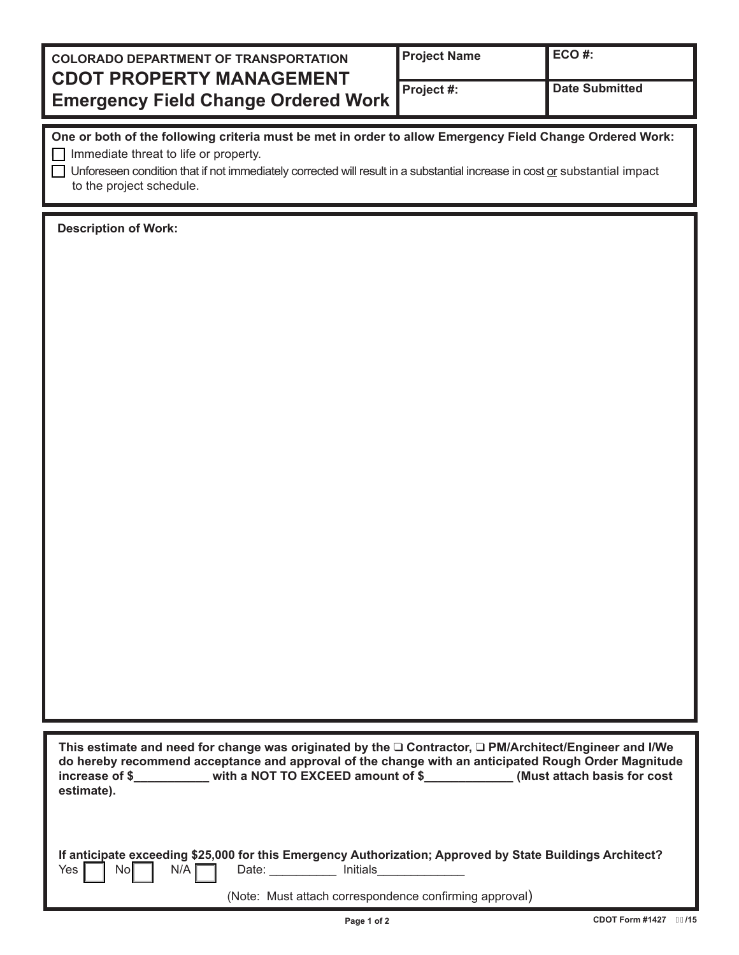| <b>COLORADO DEPARTMENT OF TRANSPORTATION</b><br><b>CDOT PROPERTY MANAGEMENT</b> | <b>Project Name</b> | $ECO#$ :              |
|---------------------------------------------------------------------------------|---------------------|-----------------------|
| <b>Emergency Field Change Ordered Work</b>                                      | Project #:          | <b>Date Submitted</b> |

| One or both of the following criteria must be met in order to allow Emergency Field Change Ordered Work: |  |
|----------------------------------------------------------------------------------------------------------|--|
| $\Box$ Immediate threat to life or property.                                                             |  |

 $\Box$  Unforeseen condition that if not immediately corrected will result in a substantial increase in cost or substantial impact to the project schedule.

**Description of Work:**

|                | This estimate and need for change was originated by the $\square$ Contractor, $\square$ PM/Architect/Engineer and I/We |                              |
|----------------|------------------------------------------------------------------------------------------------------------------------|------------------------------|
|                | do hereby recommend acceptance and approval of the change with an anticipated Rough Order Magnitude                    |                              |
| increase of \$ | with a NOT TO EXCEED amount of \$                                                                                      | (Must attach basis for cost) |
| estimate).     |                                                                                                                        |                              |
|                |                                                                                                                        |                              |

|                                       |  |  | If anticipate exceeding \$25,000 for this Emergency Authorization; Approved by State Buildings Architect? |
|---------------------------------------|--|--|-----------------------------------------------------------------------------------------------------------|
| Yes $\Box$ No $\Box$ N/A $\Box$ Date: |  |  | Initials                                                                                                  |

(Note: Must attach correspondence confirming approval)